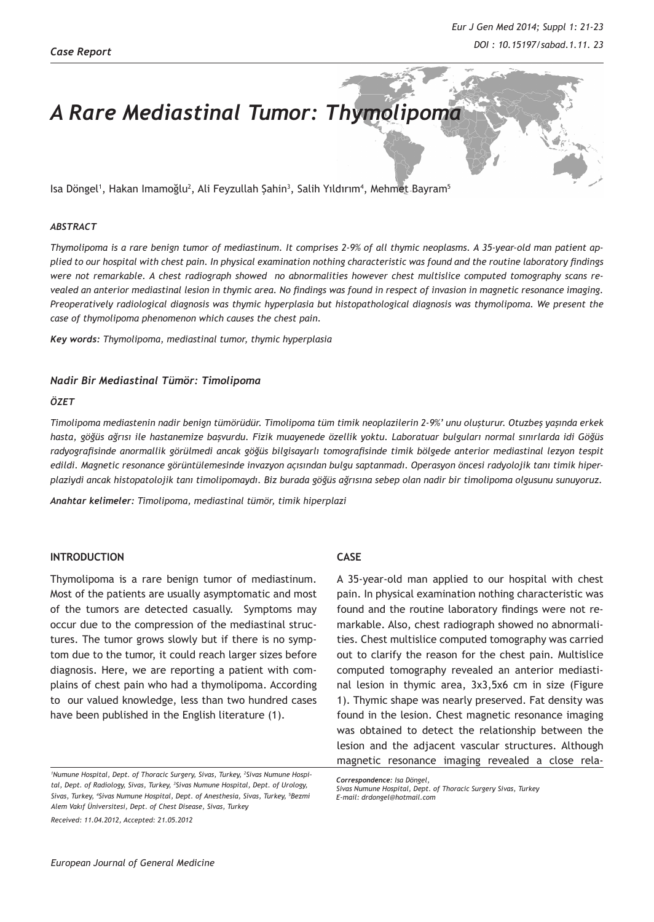# *A Rare Mediastinal Tumor: Thymolipoma*

lsa Döngel<sup>1</sup>, Hakan Imamoğlu<sup>2</sup>, Ali Feyzullah Şahin<sup>3</sup>, Salih Yıldırım<sup>4</sup>, Mehmet Bayram<sup>5</sup>

#### *ABSTRACT*

*Thymolipoma is a rare benign tumor of mediastinum. It comprises 2-9% of all thymic neoplasms. A 35-year-old man patient applied to our hospital with chest pain. In physical examination nothing characteristic was found and the routine laboratory findings were not remarkable. A chest radiograph showed no abnormalities however chest multislice computed tomography scans revealed an anterior mediastinal lesion in thymic area. No findings was found in respect of invasion in magnetic resonance imaging. Preoperatively radiological diagnosis was thymic hyperplasia but histopathological diagnosis was thymolipoma. We present the case of thymolipoma phenomenon which causes the chest pain.*

*Key words: Thymolipoma, mediastinal tumor, thymic hyperplasia*

## *Nadir Bir Mediastinal Tümör: Timolipoma*

#### *ÖZET*

*Timolipoma mediastenin nadir benign tümörüdür. Timolipoma tüm timik neoplazilerin 2-9%' unu oluşturur. Otuzbeş yaşında erkek hasta, göğüs ağrısı ile hastanemize başvurdu. Fizik muayenede özellik yoktu. Laboratuar bulguları normal sınırlarda idi Göğüs radyografisinde anormallik görülmedi ancak göğüs bilgisayarlı tomografisinde timik bölgede anterior mediastinal lezyon tespit edildi. Magnetic resonance görüntülemesinde invazyon açısından bulgu saptanmadı. Operasyon öncesi radyolojik tanı timik hiperplaziydi ancak histopatolojik tanı timolipomaydı. Biz burada göğüs ağrısına sebep olan nadir bir timolipoma olgusunu sunuyoruz.*

*Anahtar kelimeler: Timolipoma, mediastinal tümör, timik hiperplazi*

# **INTRODUCTION**

Thymolipoma is a rare benign tumor of mediastinum. Most of the patients are usually asymptomatic and most of the tumors are detected casually. Symptoms may occur due to the compression of the mediastinal structures. The tumor grows slowly but if there is no symptom due to the tumor, it could reach larger sizes before diagnosis. Here, we are reporting a patient with complains of chest pain who had a thymolipoma. According to our valued knowledge, less than two hundred cases have been published in the English literature (1).

## **CASE**

A 35-year-old man applied to our hospital with chest pain. In physical examination nothing characteristic was found and the routine laboratory findings were not remarkable. Also, chest radiograph showed no abnormalities. Chest multislice computed tomography was carried out to clarify the reason for the chest pain. Multislice computed tomography revealed an anterior mediastinal lesion in thymic area, 3x3,5x6 cm in size (Figure 1). Thymic shape was nearly preserved. Fat density was found in the lesion. Chest magnetic resonance imaging was obtained to detect the relationship between the lesion and the adjacent vascular structures. Although magnetic resonance imaging revealed a close rela-

*<sup>1</sup> Numune Hospital, Dept. of Thoracic Surgery, Sivas, Turkey, 2 Sivas Numune Hospital, Dept. of Radiology, Sivas, Turkey, 3 Sivas Numune Hospital, Dept. of Urology,*  Sivas, Turkey, <sup>4</sup>Sivas Numune Hospital, Dept. of Anesthesia, Sivas, Turkey, <sup>5</sup>Bezmi *Alem Vakıf Üniversitesi, Dept. of Chest Disease, Sivas, Turkey Received: 11.04.2012, Accepted: 21.05.2012*

*Correspondence: Isa Döngel,* 

*Sivas Numune Hospital, Dept. of Thoracic Surgery Sivas, Turkey E-mail: drdongel@hotmail.com*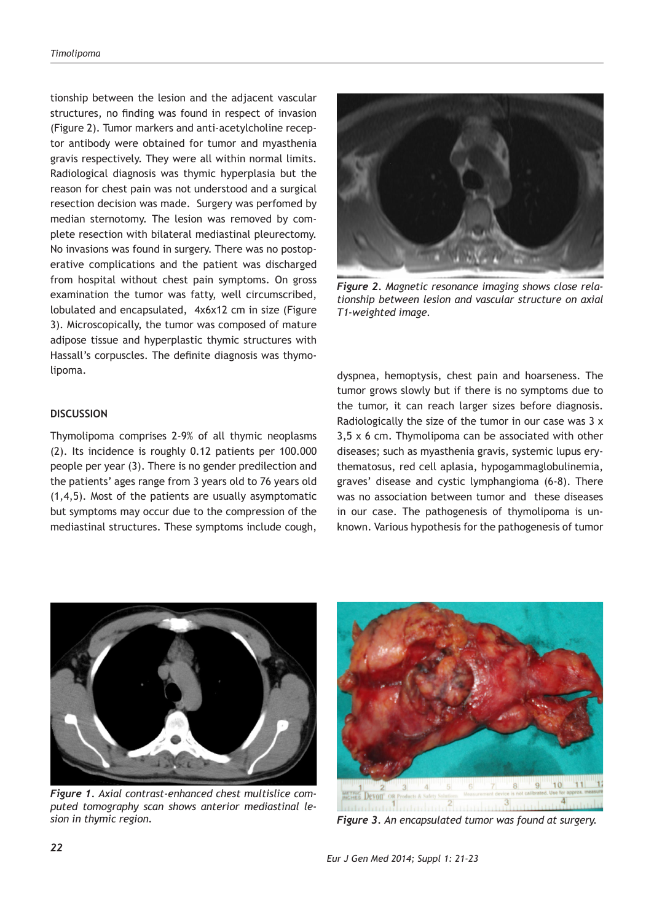tionship between the lesion and the adjacent vascular structures, no finding was found in respect of invasion (Figure 2). Tumor markers and anti-acetylcholine receptor antibody were obtained for tumor and myasthenia gravis respectively. They were all within normal limits. Radiological diagnosis was thymic hyperplasia but the reason for chest pain was not understood and a surgical resection decision was made. Surgery was perfomed by median sternotomy. The lesion was removed by complete resection with bilateral mediastinal pleurectomy. No invasions was found in surgery. There was no postoperative complications and the patient was discharged from hospital without chest pain symptoms. On gross examination the tumor was fatty, well circumscribed, lobulated and encapsulated, 4x6x12 cm in size (Figure 3). Microscopically, the tumor was composed of mature adipose tissue and hyperplastic thymic structures with Hassall's corpuscles. The definite diagnosis was thymolipoma.

# **DISCUSSION**

Thymolipoma comprises 2-9% of all thymic neoplasms (2). Its incidence is roughly 0.12 patients per 100.000 people per year (3). There is no gender predilection and the patients' ages range from 3 years old to 76 years old (1,4,5). Most of the patients are usually asymptomatic but symptoms may occur due to the compression of the mediastinal structures. These symptoms include cough,



*Figure 2. Magnetic resonance imaging shows close relationship between lesion and vascular structure on axial T1-weighted image.*

dyspnea, hemoptysis, chest pain and hoarseness. The tumor grows slowly but if there is no symptoms due to the tumor, it can reach larger sizes before diagnosis. Radiologically the size of the tumor in our case was 3 x 3,5 x 6 cm. Thymolipoma can be associated with other diseases; such as myasthenia gravis, systemic lupus erythematosus, red cell aplasia, hypogammaglobulinemia, graves' disease and cystic lymphangioma (6-8). There was no association between tumor and these diseases in our case. The pathogenesis of thymolipoma is unknown. Various hypothesis for the pathogenesis of tumor



*Figure 1. Axial contrast-enhanced chest multislice computed tomography scan shows anterior mediastinal lesion in thymic region.* 



*Figure 3. An encapsulated tumor was found at surgery.*